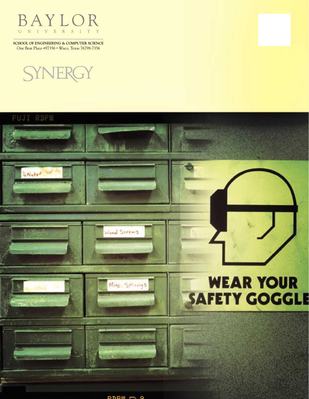

**SCHOOL OF ENGINEERING & COMPUTER SCIENCE** One Bear Place #97356 • Waco, Texas 76798-7356



**FUJI RDPM** 

'GNutar



 $ppm -$ 

Wood Screws

Misc. SPrings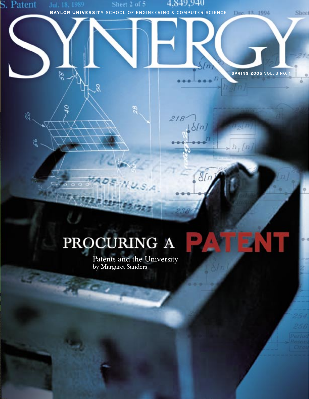# $\delta(r)$

**BAYLOR UNIVERSITY** SCHOOL OF ENGINEERING & COMPUTER SCIENCE

4,849,940

 $218$ 

 $\delta[n]$ 

Sheet 2 of 5

 $28$ 

S. Patent

25

56

8s

ð

o,

**SPRING 2005 VOL. 3 NO.** 

 $h_1/n$ 

n  $\bullet$ 

Shee

## PROCURING A

Patents and the University by Margaret Sanders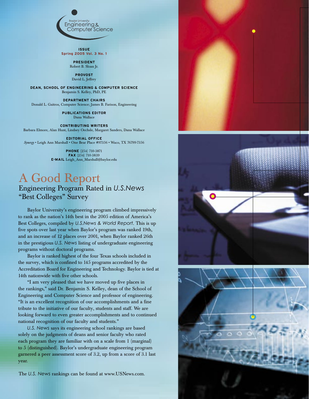

**ISSUE Spring 2005 Vol. 3 No. 1**

> **PRESIDENT** Robert B. Sloan Jr.

**PROVOST** David L. Jeffrey

**DEAN, SCHOOL OF ENGINEERING & COMPUTER SCIENCE** Benjamin S. Kelley, PhD, PE

**DEPARTMENT CHAIRS** Donald L. Gaitros, Computer Science; James B. Farison, Engineering

> **PUBLICATIONS EDITOR** Dana Wallace

**CONTRIBUTING WRITERS** Barbara Elmore, Alan Hunt, Lindsey Oechsle, Margaret Sanders, Dana Wallace

**EDITORIAL OFFICE** *Synergy* • Leigh Ann Marshall • One Bear Place #97356 • Waco, TX 76799-7356

> **PHONE** (254) 710-3871 **FAX** (254) 710-3839 **E-MAIL** Leigh\_Ann\_Marshall@baylor.edu

#### A Good Report Engineering Program Rated in *U.S.News* "Best Colleges" Survey

Baylor University's engineering program climbed impressively to rank as the nation's 14th best in the 2005 edition of America's Best Colleges, compiled by *U.S.News & World Report.* This is up five spots over last year when Baylor's program was ranked 19th, and an increase of 12 places over 2001, when Baylor ranked 26th in the prestigious *U.S. News* listing of undergraduate engineering programs without doctoral programs.

Baylor is ranked highest of the four Texas schools included in the survey, which is confined to 145 programs accredited by the Accreditation Board for Engineering and Technology. Baylor is tied at 14th nationwide with five other schools.

"I am very pleased that we have moved up five places in the rankings," said Dr. Benjamin S. Kelley, dean of the School of Engineering and Computer Science and professor of engineering. "It is an excellent recognition of our accomplishments and a fine tribute to the initiative of our faculty, students and staff. We are looking forward to even greater accomplishments and to continued national recognition of our faculty and students."

*U.S. News* says its engineering school rankings are based solely on the judgments of deans and senior faculty who rated each program they are familiar with on a scale from 1 (marginal) to 5 (distinguished). Baylor's undergraduate engineering program garnered a peer assessment score of 3.2, up from a score of 3.1 last year.

The *U.S. News* rankings can be found at www.USNews.com.

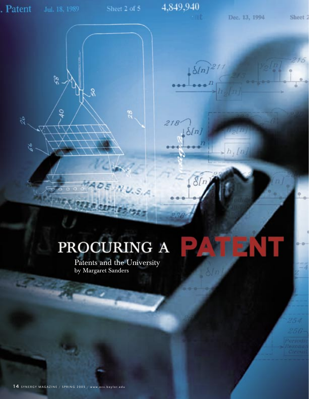26

66

Š,

88

ő

82

 $218$ 

 $\delta[n]$ 

 $\delta$ [n

 $\frac{\sin^{21}}{2}$ 

 $\sqrt{h_j/n_j}$ 

Sheet<sub>2</sub>

 $15$ 

## PROCURING A

Patents and the University by Margaret Sanders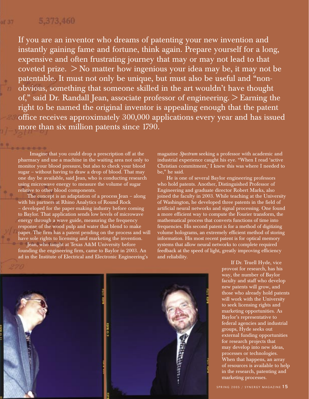#### 5.373.460

of 37

If you are an inventor who dreams of patenting your new invention and instantly gaining fame and fortune, think again. Prepare yourself for a long, expensive and often frustrating journey that may or may not lead to that coveted prize. > No matter how ingenious your idea may be, it may not be patentable. It must not only be unique, but must also be useful and "nonobvious, something that someone skilled in the art wouldn't have thought of," said Dr. Randall Jean, associate professor of engineering. > Earning the right to be named the original inventor is appealing enough that the patent office receives approximately 300,000 applications every year and has issued more than six million patents since 1790.

Imagine that you could drop a prescription off at the pharmacy and use a machine in the waiting area not only to monitor your blood pressure, but also to check your blood sugar – without having to draw a drop of blood. That may one day be available, said Jean, who is conducting research using microwave energy to measure the volume of sugar relative to other blood components.

The concept is an adaptation of a process Jean – along with his partners at Rhino Analytics of Round Rock – developed for the paper-making industry before coming to Baylor. That application sends low levels of microwave energy through a wave guide, measuring the frequency response of the wood pulp and water that blend to make paper. The firm has a patent pending on the process and will have sole rights to licensing and marketing the invention.

Jean, who taught at Texas A&M University before founding the engineering firm, came to Baylor in 2003. An ad in the Institute of Electrical and Electronic Engineering's magazine *Spectrum* seeking a professor with academic and industrial experience caught his eye. "When I read 'active Christian commitment,' I knew this was where I needed to be," he said.

He is one of several Baylor engineering professors who hold patents. Another, Distinguished Professor of Engineering and graduate director Robert Marks, also joined the faculty in 2003. While teaching at the University of Washington, he developed three patents in the field of artificial neural networks and signal processing. One found a more efficient way to compute the Fourier transform, the mathematical process that converts functions of time into frequencies. His second patent is for a method of digitizing volume holograms, an extremely efficient method of storing information. His most recent patent is for optical memory systems that allow neural networks to complete required feedback at the speed of light, greatly improving efficiency and reliability.



If Dr. Truell Hyde, vice provost for research, has his way, the number of Baylor faculty and staff who develop new patents will grow, and those who already hold patents will work with the University to seek licensing rights and marketing opportunities. As Baylor's representative to federal agencies and industrial groups, Hyde seeks out external funding opportunities for research projects that may develop into new ideas, processes or technologies. When that happens, an array of resources is available to help in the research, patenting and marketing processes.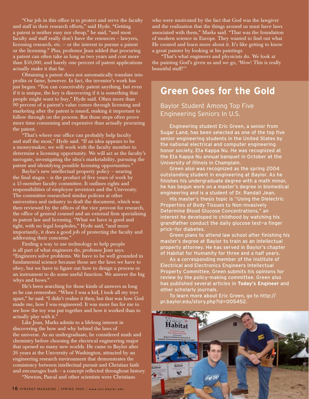"Our job in this office is to protect and serve the faculty and staff in their research efforts," said Hyde. "Getting a patent is neither easy nor cheap," he said, "and most faculty and staff really don't have the resources – lawyers, licensing research, etc. – or the interest to pursue a patent or the licensing." Plus, professor Jean added that procuring a patent can often take as long as two years and cost more than \$50,000, and barely one percent of patent applications actually make it that far.

Obtaining a patent does not automatically translate into profits or fame, however. In fact, the inventor's work has just begun. "You can conceivably patent anything, but even if it is unique, the key is discovering if it is something that people might want to buy," Hyde said. Often more than 90 percent of a patent's value comes through licensing and marketing after the patent is issued, making it important to follow through on the process. But those steps often prove more time consuming and expensive than actually procuring the patent.

"That's where our office can probably help faculty and staff the most," Hyde said. "If an idea appears to be a moneymaker, we will work with the faculty member to determine a licensing opportunity. We will act as the faculty's surrogate, investigating the idea's marketability, pursuing the patent and identifying possible licensing opportunities."

Baylor's new intellectual property policy – nearing the final stages – is the product of five years of work by a 15-member faculty committee. It outlines rights and responsibilities of employee inventors and the University. The committee researched similar policies at other universities and industry to draft the document, which was then reviewed by the offices of the vice provost for research, the office of general counsel and an external firm specializing in patent law and licensing. "What we have is good and tight, with no legal loopholes," Hyde said, "and more importantly, it does a good job of protecting the faculty and addressing their concerns."

Finding a way to use technology to help people is all part of what engineers do, professor Jean says. "Engineers solve problems. We have to be well grounded in fundamental science because those are the laws we have to obey, but we have to figure out how to design a process or an instrument to do some useful function. We answer the big whys and hows."

He's been searching for those kinds of answers as long as he can remember. "When I was a kid, I took all my toys apart," he said. "I didn't realize it then, but that was how God made me, how I was engineered. It was more fun for me to see how the toy was put together and how it worked than to actually play with it."

Like Jean, Marks admits to a lifelong interest in discovering the how and why behind the laws of the universe. As an undergraduate, he considered math and chemistry before choosing the electrical engineering major that opened so many new worlds. He came to Baylor after 26 years at the University of Washington, attracted by an engineering research environment that demonstrates the consistency between intellectual pursuit and Christian faith and encourages both – a concept reflected throughout history.

"Newton, Pascal and other scientists were Christians

who were motivated by the fact that God was the lawgiver and the realization that the things around us must have laws associated with them," Marks said. "That was the foundation of modern science in Europe. They wanted to find out what He created and learn more about it. It's like getting to know a great painter by looking at his paintings.

"That's what engineers and physicists do. We look at the painting God's given us and we go, 'Wow! This is really beautiful stuff!'"

### **Green Goes for the Gold**

Baylor Student Among Top Five Engineering Seniors In U.S.

Engineering student Eric Green, a senior from Sugar Land, has been selected as one of the top five senior engineering students in the United States by the national electrical and computer engineering honor society, Eta Kappa Nu. He was recognized at the Eta Kappa Nu annual banquet in October at the University of Illinois in Champlain.

Green also was recognized as the spring 2004 outstanding student in engineering at Baylor. As he finishes his undergraduate degree with a math minor, he has begun work on a master's degree in biomedical engineering and is a student of Dr. Randall Jean.

His master's thesis topic is "Using the Dielectric Properties of Body Tissues to Non-invasively Determine Blood Glucose Concentrations," an interest he developed in childhood by watching his grandfather conduct the daily glucose test—a finger prick—for diabetes.

Green plans to attend law school after finishing his master's degree at Baylor to train as an intellectual property attorney. He has served in Baylor's chapter of Habitat for Humanity for three and a half years.

As a corresponding member of the Institute of Electrical and Electronics Engineers Intellectual Property Committee, Green submits his opinions for review by the policy-making committee. Green also has published several articles in **Today's Engineer** and other scholarly journals.

To learn more about Eric Green, go to http:// pr.baylor.edu/story.php?id=005452.